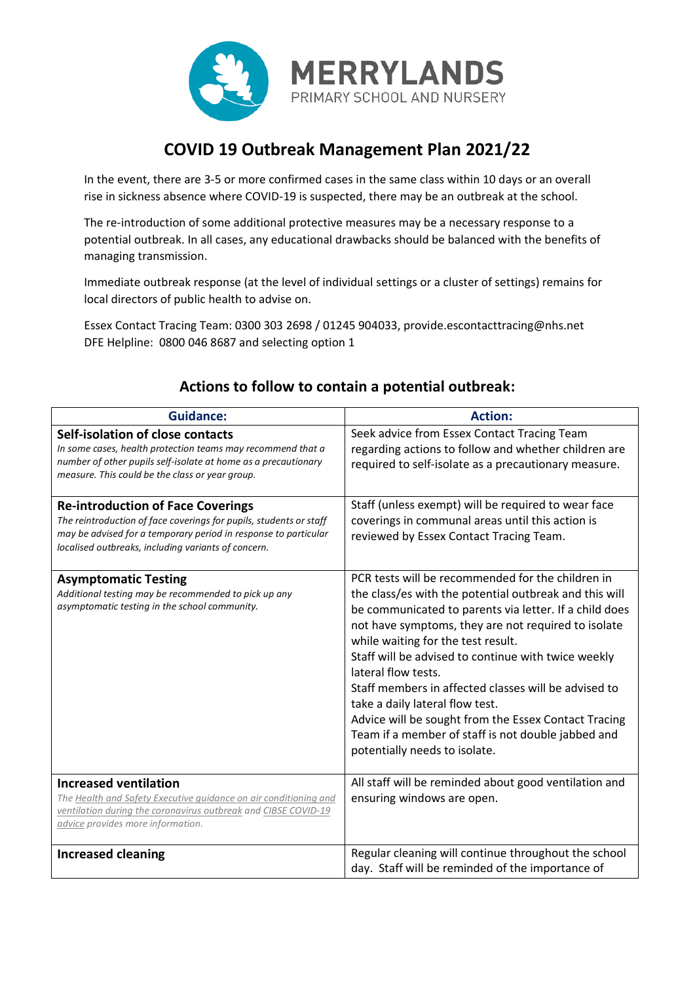

## **COVID 19 Outbreak Management Plan 2021/22**

In the event, there are 3-5 or more confirmed cases in the same class within 10 days or an overall rise in sickness absence where COVID-19 is suspected, there may be an outbreak at the school.

The re-introduction of some additional protective measures may be a necessary response to a potential outbreak. In all cases, any educational drawbacks should be balanced with the benefits of managing transmission.

Immediate outbreak response (at the level of individual settings or a cluster of settings) remains for local directors of public health to advise on.

Essex Contact Tracing Team: 0300 303 2698 / 01245 904033, provide.escontacttracing@nhs.net DFE Helpline: 0800 046 8687 and selecting option 1

| <b>Guidance:</b>                                                                                                                                                                                                                         | <b>Action:</b>                                                                                                                                                                                                                                                                                                                                                                                                                                                                                                                                                                             |
|------------------------------------------------------------------------------------------------------------------------------------------------------------------------------------------------------------------------------------------|--------------------------------------------------------------------------------------------------------------------------------------------------------------------------------------------------------------------------------------------------------------------------------------------------------------------------------------------------------------------------------------------------------------------------------------------------------------------------------------------------------------------------------------------------------------------------------------------|
| Self-isolation of close contacts<br>In some cases, health protection teams may recommend that a<br>number of other pupils self-isolate at home as a precautionary<br>measure. This could be the class or year group.                     | Seek advice from Essex Contact Tracing Team<br>regarding actions to follow and whether children are<br>required to self-isolate as a precautionary measure.                                                                                                                                                                                                                                                                                                                                                                                                                                |
| <b>Re-introduction of Face Coverings</b><br>The reintroduction of face coverings for pupils, students or staff<br>may be advised for a temporary period in response to particular<br>localised outbreaks, including variants of concern. | Staff (unless exempt) will be required to wear face<br>coverings in communal areas until this action is<br>reviewed by Essex Contact Tracing Team.                                                                                                                                                                                                                                                                                                                                                                                                                                         |
| <b>Asymptomatic Testing</b><br>Additional testing may be recommended to pick up any<br>asymptomatic testing in the school community.                                                                                                     | PCR tests will be recommended for the children in<br>the class/es with the potential outbreak and this will<br>be communicated to parents via letter. If a child does<br>not have symptoms, they are not required to isolate<br>while waiting for the test result.<br>Staff will be advised to continue with twice weekly<br>lateral flow tests.<br>Staff members in affected classes will be advised to<br>take a daily lateral flow test.<br>Advice will be sought from the Essex Contact Tracing<br>Team if a member of staff is not double jabbed and<br>potentially needs to isolate. |
| <b>Increased ventilation</b><br>The Health and Safety Executive quidance on air conditioning and<br>ventilation during the coronavirus outbreak and CIBSE COVID-19<br>advice provides more information.                                  | All staff will be reminded about good ventilation and<br>ensuring windows are open.                                                                                                                                                                                                                                                                                                                                                                                                                                                                                                        |
| <b>Increased cleaning</b>                                                                                                                                                                                                                | Regular cleaning will continue throughout the school<br>day. Staff will be reminded of the importance of                                                                                                                                                                                                                                                                                                                                                                                                                                                                                   |

## **Actions to follow to contain a potential outbreak:**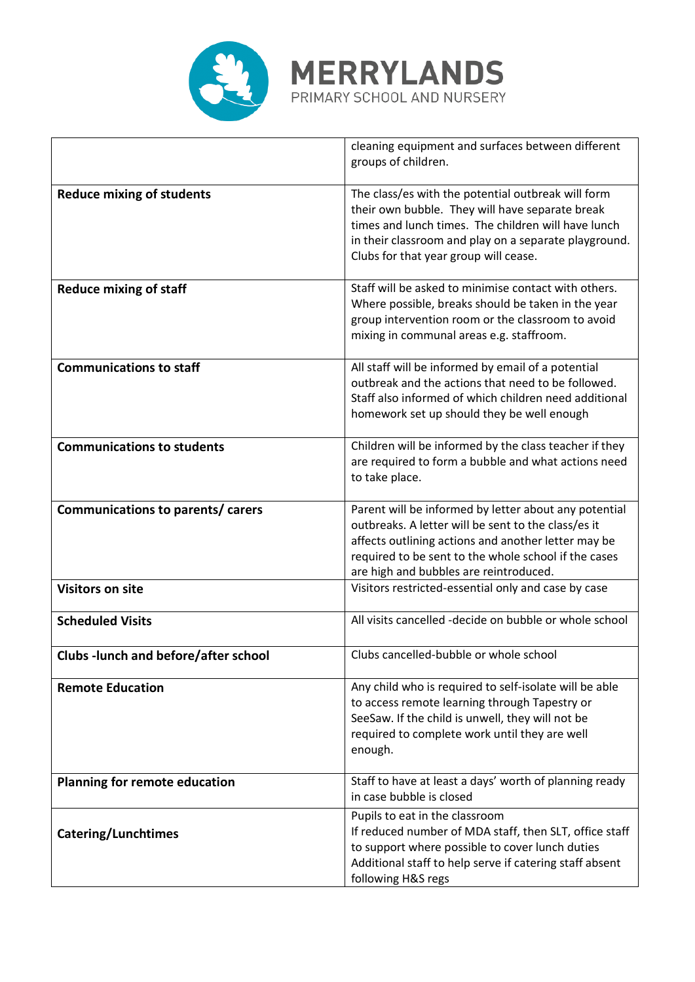

|                                            | cleaning equipment and surfaces between different<br>groups of children.                                                                                                                                                                                              |
|--------------------------------------------|-----------------------------------------------------------------------------------------------------------------------------------------------------------------------------------------------------------------------------------------------------------------------|
| <b>Reduce mixing of students</b>           | The class/es with the potential outbreak will form<br>their own bubble. They will have separate break<br>times and lunch times. The children will have lunch<br>in their classroom and play on a separate playground.<br>Clubs for that year group will cease.        |
| <b>Reduce mixing of staff</b>              | Staff will be asked to minimise contact with others.<br>Where possible, breaks should be taken in the year<br>group intervention room or the classroom to avoid<br>mixing in communal areas e.g. staffroom.                                                           |
| <b>Communications to staff</b>             | All staff will be informed by email of a potential<br>outbreak and the actions that need to be followed.<br>Staff also informed of which children need additional<br>homework set up should they be well enough                                                       |
| <b>Communications to students</b>          | Children will be informed by the class teacher if they<br>are required to form a bubble and what actions need<br>to take place.                                                                                                                                       |
| Communications to parents/ carers          | Parent will be informed by letter about any potential<br>outbreaks. A letter will be sent to the class/es it<br>affects outlining actions and another letter may be<br>required to be sent to the whole school if the cases<br>are high and bubbles are reintroduced. |
| <b>Visitors on site</b>                    | Visitors restricted-essential only and case by case                                                                                                                                                                                                                   |
| <b>Scheduled Visits</b>                    | All visits cancelled -decide on bubble or whole school                                                                                                                                                                                                                |
| <b>Clubs-lunch and before/after school</b> | Clubs cancelled-bubble or whole school                                                                                                                                                                                                                                |
| <b>Remote Education</b>                    | Any child who is required to self-isolate will be able<br>to access remote learning through Tapestry or<br>SeeSaw. If the child is unwell, they will not be<br>required to complete work until they are well<br>enough.                                               |
| <b>Planning for remote education</b>       | Staff to have at least a days' worth of planning ready<br>in case bubble is closed                                                                                                                                                                                    |
| <b>Catering/Lunchtimes</b>                 | Pupils to eat in the classroom<br>If reduced number of MDA staff, then SLT, office staff<br>to support where possible to cover lunch duties<br>Additional staff to help serve if catering staff absent<br>following H&S regs                                          |

**MERRYLANDS**<br>PRIMARY SCHOOL AND NURSERY